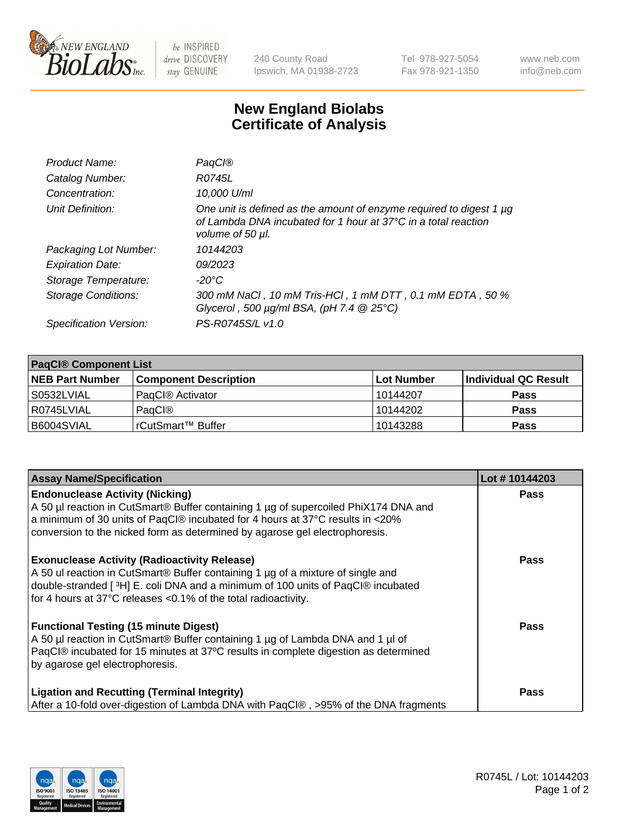

 $be$  INSPIRED drive DISCOVERY stay GENUINE

240 County Road Ipswich, MA 01938-2723 Tel 978-927-5054 Fax 978-921-1350 www.neb.com info@neb.com

## **New England Biolabs Certificate of Analysis**

| Product Name:              | <b>PagCI®</b>                                                                                                                                                       |
|----------------------------|---------------------------------------------------------------------------------------------------------------------------------------------------------------------|
| Catalog Number:            | R0745L                                                                                                                                                              |
| Concentration:             | 10,000 U/ml                                                                                                                                                         |
| Unit Definition:           | One unit is defined as the amount of enzyme required to digest 1 µg<br>of Lambda DNA incubated for 1 hour at $37^{\circ}$ C in a total reaction<br>volume of 50 µl. |
| Packaging Lot Number:      | 10144203                                                                                                                                                            |
| <b>Expiration Date:</b>    | 09/2023                                                                                                                                                             |
| Storage Temperature:       | -20°C                                                                                                                                                               |
| <b>Storage Conditions:</b> | 300 mM NaCl , 10 mM Tris-HCl , 1 mM DTT , 0.1 mM EDTA , 50 %<br>Glycerol, 500 $\mu$ g/ml BSA, (pH 7.4 $@25°C$ )                                                     |
| Specification Version:     | PS-R0745S/L v1.0                                                                                                                                                    |

| <b>PaqCI® Component List</b> |                              |                   |                      |  |  |
|------------------------------|------------------------------|-------------------|----------------------|--|--|
| <b>NEB Part Number</b>       | <b>Component Description</b> | <b>Lot Number</b> | Individual QC Result |  |  |
| S0532LVIAL                   | PagCl <sup>®</sup> Activator | 10144207          | <b>Pass</b>          |  |  |
| R0745LVIAL                   | PagCI®                       | 10144202          | <b>Pass</b>          |  |  |
| B6004SVIAL                   | l rCutSmart™ Buffer_         | 10143288          | <b>Pass</b>          |  |  |

| <b>Assay Name/Specification</b>                                                                                                                                                                                                                                                               | Lot #10144203 |
|-----------------------------------------------------------------------------------------------------------------------------------------------------------------------------------------------------------------------------------------------------------------------------------------------|---------------|
| <b>Endonuclease Activity (Nicking)</b><br>A 50 µl reaction in CutSmart® Buffer containing 1 µg of supercoiled PhiX174 DNA and<br>a minimum of 30 units of PaqCl® incubated for 4 hours at 37°C results in <20%<br>conversion to the nicked form as determined by agarose gel electrophoresis. | <b>Pass</b>   |
| <b>Exonuclease Activity (Radioactivity Release)</b><br>A 50 ul reaction in CutSmart® Buffer containing 1 µg of a mixture of single and<br>double-stranded [3H] E. coli DNA and a minimum of 100 units of PaqCl® incubated<br>for 4 hours at 37°C releases <0.1% of the total radioactivity.   | Pass          |
| <b>Functional Testing (15 minute Digest)</b><br>A 50 µl reaction in CutSmart® Buffer containing 1 µg of Lambda DNA and 1 µl of<br>PaqCl® incubated for 15 minutes at 37°C results in complete digestion as determined<br>by agarose gel electrophoresis.                                      | <b>Pass</b>   |
| <b>Ligation and Recutting (Terminal Integrity)</b><br>After a 10-fold over-digestion of Lambda DNA with PagCl®, >95% of the DNA fragments                                                                                                                                                     | Pass          |